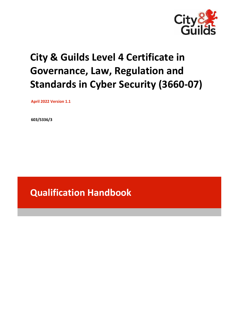

# **City & Guilds Level 4 Certificate in Governance, Law, Regulation and Standards in Cyber Security (3660-07)**

 **April 2022 Version 1.1**

**603/5336/3**

**Qualification Handbook**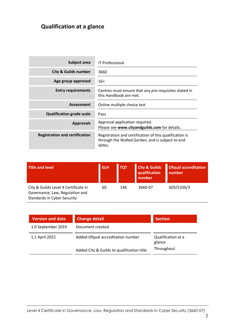## **Qualification at a glance**

| Subject area                          | <b>IT Professional</b>                                                                                                |
|---------------------------------------|-----------------------------------------------------------------------------------------------------------------------|
| <b>City &amp; Guilds number</b>       | 3660                                                                                                                  |
| Age group approved                    | $16+$                                                                                                                 |
| <b>Entry requirements</b>             | Centres must ensure that any pre-requisites stated in<br>this Handbook are met.                                       |
| <b>Assessment</b>                     | Online multiple choice test                                                                                           |
| <b>Qualification grade scale</b>      | Pass                                                                                                                  |
| <b>Approvals</b>                      | Approval application required.<br>Please see www.cityandguilds.com for details.                                       |
| <b>Registration and certification</b> | Registration and certification of this qualification is<br>through the Walled Garden, and is subject to end<br>dates. |

| Title and level                                                                                               | <b>GLH</b> | <b>TOT</b> | <b>City &amp; Guilds</b><br>qualification<br>number | <b>Ofqual accreditation</b><br>number |
|---------------------------------------------------------------------------------------------------------------|------------|------------|-----------------------------------------------------|---------------------------------------|
| City & Guilds Level 4 Certificate in<br>Governance, Law, Regulation and<br><b>Standards in Cyber Security</b> | 60         | 146        | 3660-07                                             | 603/5336/3                            |

| Version and date   | <b>Change detail</b>                       | <b>Section</b>               |
|--------------------|--------------------------------------------|------------------------------|
| 1.0 September 2019 | Document created                           |                              |
| 1.1 April 2022     | Added Ofqual accreditation number          | Qualification at a<br>glance |
|                    | Added City & Guilds to qualification title | Throughout                   |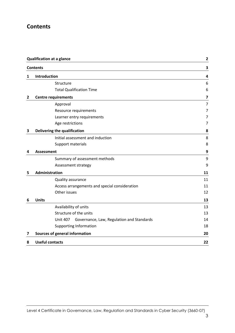## **Contents**

|   | <b>Qualification at a glance</b>                             |                         |
|---|--------------------------------------------------------------|-------------------------|
|   | <b>Contents</b>                                              | 3                       |
| 1 | Introduction                                                 | 4                       |
|   | Structure                                                    | 6                       |
|   | <b>Total Qualification Time</b>                              | 6                       |
| 2 | <b>Centre requirements</b>                                   | $\overline{\mathbf{z}}$ |
|   | Approval                                                     | 7                       |
|   | Resource requirements                                        | 7                       |
|   | Learner entry requirements                                   | 7                       |
|   | Age restrictions                                             | 7                       |
| 3 | Delivering the qualification                                 | 8                       |
|   | Initial assessment and induction                             | 8                       |
|   | Support materials                                            | 8                       |
| 4 | <b>Assessment</b>                                            | 9                       |
|   | Summary of assessment methods                                | 9                       |
|   | Assessment strategy                                          | 9                       |
| 5 | Administration                                               | 11                      |
|   | Quality assurance                                            | 11                      |
|   | Access arrangements and special consideration                | 11                      |
|   | Other issues                                                 | 12                      |
| 6 | <b>Units</b>                                                 | 13                      |
|   | Availability of units                                        | 13                      |
|   | Structure of the units                                       | 13                      |
|   | Governance, Law, Regulation and Standards<br><b>Unit 407</b> | 14                      |
|   | <b>Supporting Information</b>                                | 18                      |
| 7 | Sources of general information                               | 20                      |
| 8 | <b>Useful contacts</b>                                       | 22                      |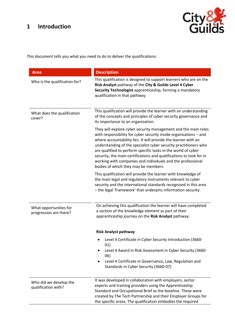## **1 Introduction**



This document tells you what you need to do to deliver the qualifications:

| <b>Area</b>                                      | <b>Description</b>                                                                                                                                                                                                                                                                                                                                                                                                                                                                                                       |
|--------------------------------------------------|--------------------------------------------------------------------------------------------------------------------------------------------------------------------------------------------------------------------------------------------------------------------------------------------------------------------------------------------------------------------------------------------------------------------------------------------------------------------------------------------------------------------------|
| Who is the qualification for?                    | This qualification is designed to support learners who are on the<br>Risk Analyst pathway of the City & Guilds Level 4 Cyber<br>Security Technologist apprenticeship, forming a mandatory<br>qualification in that pathway.                                                                                                                                                                                                                                                                                              |
| What does the qualification<br>cover?            | This qualification will provide the learner with an understanding<br>of the concepts and principles of cyber security governance and<br>its importance to an organisation.                                                                                                                                                                                                                                                                                                                                               |
|                                                  | They will explore cyber security management and the main roles<br>with responsibility for cyber security inside organisations - and<br>where accountability lies. It will provide the learner with an<br>understanding of the specialist cyber security practitioners who<br>are qualified to perform specific tasks in the world of cyber<br>security, the main certifications and qualifications to look for in<br>working with companies and individuals and the professional<br>bodies of which they may be members. |
|                                                  | This qualification will provide the learner with knowledge of<br>the main legal and regulatory instruments relevant to cyber<br>security and the international standards recognised in this area<br>- the legal 'framework' that underpins information security.                                                                                                                                                                                                                                                         |
| What opportunities for<br>progression are there? | On achieving this qualification the learner will have completed<br>a section of the knowledge element as part of their<br>apprenticeship journey on the Risk Analyst pathway:                                                                                                                                                                                                                                                                                                                                            |
|                                                  | <b>Risk Analyst pathway</b>                                                                                                                                                                                                                                                                                                                                                                                                                                                                                              |
|                                                  | Level 4 Certificate in Cyber Security Introduction (3660-<br>01)<br>Level 4 Award in Risk Assessment in Cyber Security (3660-<br>06)<br>Level 4 Certificate in Governance, Law, Regulation and<br>Standards in Cyber Security (3660-07)                                                                                                                                                                                                                                                                                  |
| Who did we develop the<br>qualification with?    | It was developed in collaboration with employers, sector<br>experts and training providers using the Apprenticeship<br>Standard and Occupational Brief as the baseline. These were<br>created by The Tech Partnership and their Employer Groups for<br>the specific areas. The qualification embodies the required                                                                                                                                                                                                       |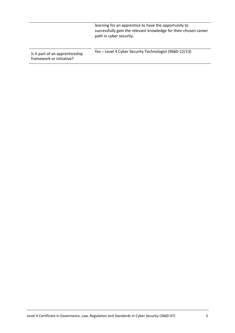|                                                             | learning for an apprentice to have the opportunity to<br>successfully gain the relevant knowledge for their chosen career<br>path in cyber security. |
|-------------------------------------------------------------|------------------------------------------------------------------------------------------------------------------------------------------------------|
| Is it part of an apprenticeship<br>framework or initiative? | Yes - Level 4 Cyber Security Technologist (9660-12/13)                                                                                               |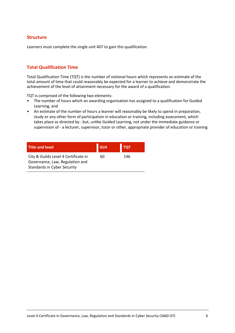## **Structure**

Learners must complete the single unit 407 to gain this qualification.

## **Total Qualification Time**

Total Qualification Time (TQT) is the number of notional hours which represents an estimate of the total amount of time that could reasonably be expected for a learner to achieve and demonstrate the achievement of the level of attainment necessary for the award of a qualification.

TQT is comprised of the following two elements:

- The number of hours which an awarding organisation has assigned to a qualification for Guided Learning, and
- An estimate of the number of hours a learner will reasonably be likely to spend in preparation, study or any other form of participation in education or training, including assessment, which takes place as directed by - but, unlike Guided Learning, not under the immediate guidance or supervision of - a lecturer, supervisor, tutor or other, appropriate provider of education or training

| <b>Title and level</b>                                                                                        | <b>GLH</b> | <b>TQT</b> |
|---------------------------------------------------------------------------------------------------------------|------------|------------|
| City & Guilds Level 4 Certificate in<br>Governance, Law, Regulation and<br><b>Standards in Cyber Security</b> | 60         | 146        |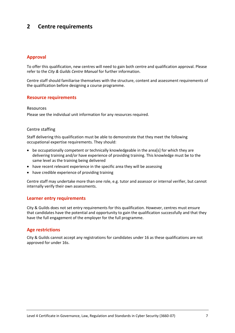## **2 Centre requirements**

## **Approval**

To offer this qualification, new centres will need to gain both centre and qualification approval. Please refer to the *City & Guilds Centre Manual* for further information.

Centre staff should familiarise themselves with the structure, content and assessment requirements of the qualification before designing a course programme.

## **Resource requirements**

#### Resources

Please see the individual unit information for any resources required.

## Centre staffing

Staff delivering this qualification must be able to demonstrate that they meet the following occupational expertise requirements. They should:

- be occupationally competent or technically knowledgeable in the area[s] for which they are delivering training and/or have experience of providing training. This knowledge must be to the same level as the training being delivered
- have recent relevant experience in the specific area they will be assessing
- have credible experience of providing training

Centre staff may undertake more than one role, e.g. tutor and assessor or internal verifier, but cannot internally verify their own assessments.

### **Learner entry requirements**

City & Guilds does not set entry requirements for this qualification. However, centres must ensure that candidates have the potential and opportunity to gain the qualification successfully and that they have the full engagement of the employer for the full programme.

## **Age restrictions**

City & Guilds cannot accept any registrations for candidates under 16 as these qualifications are not approved for under 16s.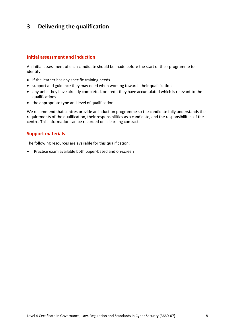## **3 Delivering the qualification**

## **Initial assessment and induction**

An initial assessment of each candidate should be made before the start of their programme to identify:

- if the learner has any specific training needs
- support and guidance they may need when working towards their qualifications
- any units they have already completed, or credit they have accumulated which is relevant to the qualifications
- the appropriate type and level of qualification

We recommend that centres provide an induction programme so the candidate fully understands the requirements of the qualification, their responsibilities as a candidate, and the responsibilities of the centre. This information can be recorded on a learning contract.

## **Support materials**

The following resources are available for this qualification:

• Practice exam available both paper-based and on-screen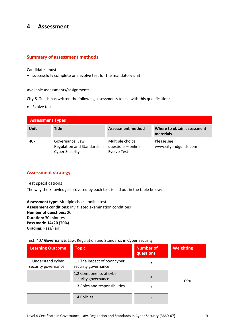## **4 Assessment**

## **Summary of assessment methods**

Candidates must:

• successfully complete one evolve test for the mandatory unit

Available assessments/assignments:

City & Guilds has written the following assessments to use with this qualification:

• Evolve tests

| <b>Assessment Types</b> |                                                                          |                                                             |                                         |
|-------------------------|--------------------------------------------------------------------------|-------------------------------------------------------------|-----------------------------------------|
| Unit                    | Title                                                                    | Assessment method                                           | Where to obtain assessment<br>materials |
| 407                     | Governance, Law,<br>Regulation and Standards in<br><b>Cyber Security</b> | Multiple choice<br>questions - online<br><b>Evolve Test</b> | Please see<br>www.cityandguilds.com     |

## **Assessment strategy**

Test specifications

The way the knowledge is covered by each test is laid out in the table below:

**Assessment type:** Multiple choice online test **Assessment conditions:** Invigilated examination conditions **Number of questions:** 20 **Duration:** 30 minutes **Pass mark: 14/20** (70%) **Grading:** Pass/Fail

Test: 407 **Governance**, Law, Regulation and Standards in Cyber Security

| <b>Learning Outcome</b>                   | <b>Topic</b>                                        | <b>Number of</b><br>questions | <b>Weighting</b> |
|-------------------------------------------|-----------------------------------------------------|-------------------------------|------------------|
| 1 Understand cyber<br>security governance | 1.1 The impact of poor cyber<br>security governance |                               |                  |
|                                           | 1.2 Components of cyber<br>security governance      |                               | 65%              |
|                                           | 1.3 Roles and responsibilities                      | 3                             |                  |
|                                           | 1.4 Policies                                        | 3                             |                  |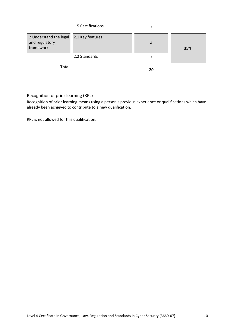|                                                                        | 1.5 Certifications | 3              |     |
|------------------------------------------------------------------------|--------------------|----------------|-----|
| 2 Understand the legal 2.1 Key features<br>and regulatory<br>framework |                    | $\overline{4}$ | 35% |
|                                                                        | 2.2 Standards      | 3              |     |
| <b>Total</b>                                                           |                    | 20             |     |

Recognition of prior learning (RPL)

Recognition of prior learning means using a person's previous experience or qualifications which have already been achieved to contribute to a new qualification.

RPL is not allowed for this qualification.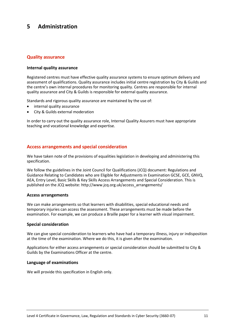## **5 Administration**

## **Quality assurance**

## **Internal quality assurance**

Registered centres must have effective quality assurance systems to ensure optimum delivery and assessment of qualifications. Quality assurance includes initial centre registration by City & Guilds and the centre's own internal procedures for monitoring quality. Centres are responsible for internal quality assurance and City & Guilds is responsible for external quality assurance.

Standards and rigorous quality assurance are maintained by the use of:

- internal quality assurance
- City & Guilds external moderation

In order to carry out the quality assurance role, Internal Quality Assurers must have appropriate teaching and vocational knowledge and expertise.

## **Access arrangements and special consideration**

We have taken note of the provisions of equalities legislation in developing and administering this specification.

We follow the guidelines in the Joint Council for Qualifications (JCQ) document: Regulations and Guidance Relating to Candidates who are Eligible for Adjustments in Examination GCSE, GCE, GNVQ, AEA, Entry Level, Basic Skills & Key Skills Access Arrangements and Special Consideration. This is published on the JCQ website[: http://www.jcq.org.uk/access\\_arrangements/](http://www.jcq.org.uk/access_arrangements/)

#### **Access arrangements**

We can make arrangements so that learners with disabilities, special educational needs and temporary injuries can access the assessment. These arrangements must be made before the examination. For example, we can produce a Braille paper for a learner with visual impairment.

## **Special consideration**

We can give special consideration to learners who have had a temporary illness, injury or indisposition at the time of the examination. Where we do this, it is given after the examination.

Applications for either access arrangements or special consideration should be submitted to City & Guilds by the Examinations Officer at the centre.

## **Language of examinations**

We will provide this specification in English only.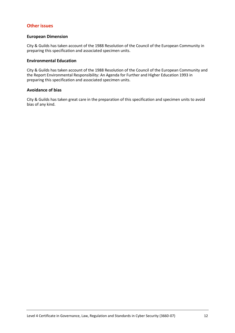## **Other issues**

### **European Dimension**

City & Guilds has taken account of the 1988 Resolution of the Council of the European Community in preparing this specification and associated specimen units.

## **Environmental Education**

City & Guilds has taken account of the 1988 Resolution of the Council of the European Community and the Report Environmental Responsibility: An Agenda for Further and Higher Education 1993 in preparing this specification and associated specimen units.

## **Avoidance of bias**

City & Guilds has taken great care in the preparation of this specification and specimen units to avoid bias of any kind.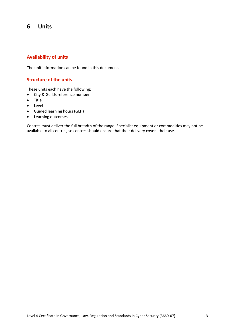## **6 Units**

## **Availability of units**

The unit information can be found in this document.

## **Structure of the units**

These units each have the following:

- City & Guilds reference number
- Title
- Level
- Guided learning hours (GLH)
- Learning outcomes

Centres must deliver the full breadth of the range. Specialist equipment or commodities may not be available to all centres, so centres should ensure that their delivery covers their use.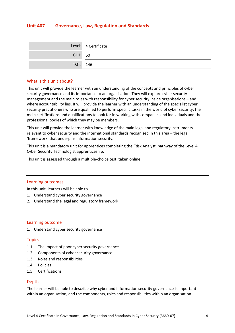## **Unit 407 Governance, Law, Regulation and Standards**

|          | Level: 4 Certificate |
|----------|----------------------|
| GLH: 60  |                      |
| TQT: 146 |                      |

### What is this unit about?

This unit will provide the learner with an understanding of the concepts and principles of cyber security governance and its importance to an organisation. They will explore cyber security management and the main roles with responsibility for cyber security inside organisations – and where accountability lies. It will provide the learner with an understanding of the specialist cyber security practitioners who are qualified to perform specific tasks in the world of cyber security, the main certifications and qualifications to look for in working with companies and individuals and the professional bodies of which they may be members.

This unit will provide the learner with knowledge of the main legal and regulatory instruments relevant to cyber security and the international standards recognised in this area – the legal 'framework' that underpins information security.

This unit is a mandatory unit for apprentices completing the 'Risk Analyst' pathway of the Level 4 Cyber Security Technologist apprenticeship.

This unit is assessed through a multiple-choice test, taken online.

#### Learning outcomes

In this unit, learners will be able to

- 1. Understand cyber security governance
- 2. Understand the legal and regulatory framework

#### Learning outcome

1. Understand cyber security governance

#### Topics

- 1.1 The impact of poor cyber security governance
- 1.2 Components of cyber security governance
- 1.3 Roles and responsibilities
- 1.4 Policies
- 1.5 Certifications

## Depth

The learner will be able to describe why cyber and information security governance is important within an organisation, and the components, roles and responsibilities within an organisation.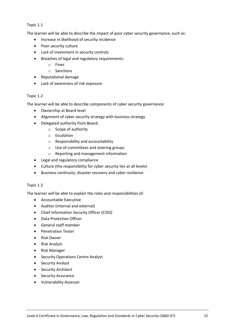## Topic 1.1

The learner will be able to describe the impact of poor cyber security governance, such as:

- Increase in likelihood of security incidence
- Poor security culture
- Lack of investment in security controls
- Breaches of legal and regulatory requirements:
	- o Fines
	- o Sanctions
- Reputational damage
- Lack of awareness of risk exposure

## Topic 1.2

The learner will be able to describe components of cyber security governance:

- Ownership at Board level
- Alignment of cyber security strategy with business strategy
- Delegated authority from Board:
	- o Scope of authority
	- o Escalation
	- o Responsibility and accountability
	- o Use of committees and steering groups
	- o Reporting and management information
- Legal and regulatory compliance
- Culture (the responsibility for cyber security lies at all levels)
- Business continuity, disaster recovery and cyber resilience

## Topic 1.3

The learner will be able to explain the roles and responsibilities of:

- Accountable Executive
- Auditor (internal and external)
- Chief Information Security Officer (CISO)
- Data Protection Officer
- General staff member
- Penetration Tester
- Risk Owner
- Risk Analyst
- Risk Manager
- Security Operations Centre Analyst
- Security Analyst
- Security Architect
- Security Assurance
- Vulnerability Assessor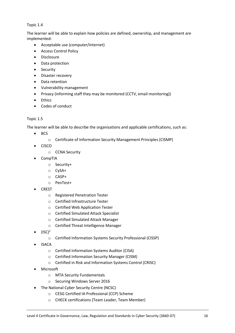## Topic 1.4

The learner will be able to explain how policies are defined, ownership, and management are implemented:

- Acceptable use (computer/internet)
- Access Control Policy
- Disclosure
- Data protection
- Security
- Disaster recovery
- Data retention
- Vulnerability management
- Privacy (informing staff they may be monitored (CCTV, email monitoring))
- Ethics
- Codes of conduct

## Topic 1.5

The learner will be able to describe the organisations and applicable certifications, such as:

- BCS
	- o Certificate of Information Security Management Principles (CISMP)
- CISCO
	- o CCNA Security
- CompTIA
	- o Security+
	- o CySA+
	- o CASP+
	- o PenTest+
- CREST
	- o Registered Penetration Tester
	- o Certified Infrastructure Tester
	- o Certified Web Application Tester
	- o Certified Simulated Attack Specialist
	- o Certified Simulated Attack Manager
	- o Certified Threat Intelligence Manager
- $(ISC)^2$ 
	- o Certified Information Systems Security Professional (CISSP)
- ISACA
	- o Certified Information Systems Auditor (CISA)
	- o Certified Information Security Manager (CISM)
	- o Certified in Risk and Information Systems Control (CRISC)
- **Microsoft** 
	- o MTA Security Fundamentals
	- o Securing Windows Server 2016
- The National Cyber Security Centre (NCSC)
	- o CESG Certified IA Professional (CCP) Scheme
	- o CHECK certifications (Team Leader, Team Member)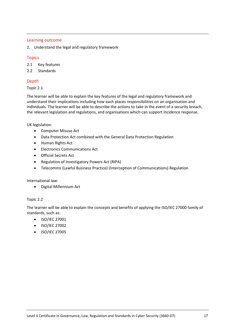## Learning outcome

2. Understand the legal and regulatory framework

## **Topics**

2.1 Key features

2.2 Standards

## Depth

## Topic 2.1

The learner will be able to explain the key features of the legal and regulatory framework and understand their implications including how each places responsibilities on an organisation and individuals. The learner will be able to describe the actions to take in the event of a security breach, the relevant legislation and regulations, and organisations which can support incidence response.

UK legislation:

- Computer Misuse Act
- Data Protection Act combined with the General Data Protection Regulation
- Human Rights Act
- Electronics Communications Act
- Official Secrets Act
- Regulation of Investigatory Powers Act (RIPA)
- Telecomms (Lawful Business Practice) (Interception of Communications) Regulation

International law:

• Digital Millennium Act

## Topic 2.2

The learner will be able to explain the concepts and benefits of applying the ISO/IEC 27000 family of standards, such as:

- ISO/IEC 27001
- ISO/IEC 27002
- ISO/IEC 27005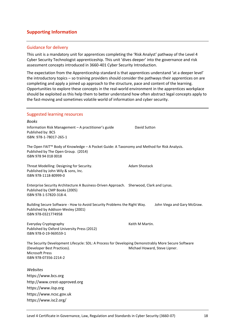## **Supporting Information**

### Guidance for delivery

This unit is a mandatory unit for apprentices completing the 'Risk Analyst' pathway of the Level 4 Cyber Security Technologist apprenticeship. This unit 'dives deeper' into the governance and risk assessment concepts introduced in 3660-401 Cyber Security Introduction.

The expectation from the Apprenticeship standard is that apprentices understand 'at a deeper level' the introductory topics – so training providers should consider the pathways their apprentices on are completing and apply a joined up approach to the structure, pace and content of the learning. Opportunities to explore these concepts in the real-world environment in the apprentices workplace should be exploited as this help them to better understand how often abstract legal concepts apply to the fast-moving and sometimes volatile world of information and cyber security.

| <b>Suggested learning resources</b>                                                                                                                                                   |                               |
|---------------------------------------------------------------------------------------------------------------------------------------------------------------------------------------|-------------------------------|
| <b>Books</b>                                                                                                                                                                          |                               |
| Information Risk Management - A practitioner's guide<br>Published by: BCS<br>ISBN: 978-1-78017-265-1                                                                                  | David Sutton                  |
| The Open FAIT™ Body of Knowledge - A Pocket Guide: A Taxonomy and Method for Risk Analysis.<br>Published by The Open Group. (2014)<br>ISBN 978 94 018 0018                            |                               |
| Threat Modelling: Designing for Security.<br>Published by John Wily & sons, Inc.<br>ISBN 978-1118-80999-0                                                                             | <b>Adam Shostack</b>          |
| Enterprise Security Architecture A Business-Driven Approach. Sherwood, Clark and Lynas.<br>Published by CMP Books (2005)<br>ISBN 978-1-57820-318-4.                                   |                               |
| Building Secure Software - How to Avoid Security Problems the Right Way.<br>Published by Addison-Wesley (2001)<br>ISBN 978-0321774958                                                 | John Viega and Gary McGraw.   |
| Everyday Cryptography<br>Published by Oxford University Press (2012)<br>ISBN 978-0-19-969559-1                                                                                        | Keith M Martin.               |
| The Security Development Lifecycle: SDL: A Process for Developing Demonstrably More Secure Software<br>(Developer Best Practices).<br><b>Microsoft Press</b><br>ISBN 978-07356-2214-2 | Michael Howard, Steve Lipner. |
| Websites                                                                                                                                                                              |                               |
| https://www.bcs.org                                                                                                                                                                   |                               |
| http://www.crest-approved.org                                                                                                                                                         |                               |
| https://www.iisp.org                                                                                                                                                                  |                               |
| https://www.ncsc.gov.uk                                                                                                                                                               |                               |
| https://www.isc2.org/                                                                                                                                                                 |                               |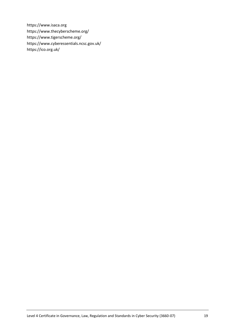https://www.isaca.org https://www.thecyberscheme.org/ https://www.tigerscheme.org/ https://www.cyberessentials.ncsc.gov.uk/ https://ico.org.uk/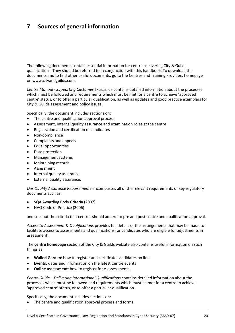## **7 Sources of general information**

The following documents contain essential information for centres delivering City & Guilds qualifications. They should be referred to in conjunction with this handbook. To download the documents and to find other useful documents, go to the Centres and Training Providers homepage on [www.cityandguilds.com.](http://www.cityandguilds.com/)

*Centre Manual - Supporting Customer Excellence* contains detailed information about the processes which must be followed and requirements which must be met for a centre to achieve 'approved centre' status, or to offer a particular qualification, as well as updates and good practice exemplars for City & Guilds assessment and policy issues.

Specifically, the document includes sections on:

- The centre and qualification approval process
- Assessment, internal quality assurance and examination roles at the centre
- Registration and certification of candidates
- Non-compliance
- Complaints and appeals
- Equal opportunities
- Data protection
- Management systems
- Maintaining records
- Assessment
- Internal quality assurance
- External quality assurance.

*Our Quality Assurance Requirements* encompasses all of the relevant requirements of key regulatory documents such as:

- SQA Awarding Body Criteria (2007)
- NVQ Code of Practice (2006)

and sets out the criteria that centres should adhere to pre and post centre and qualification approval.

*Access to Assessment & Qualifications* provides full details of the arrangements that may be made to facilitate access to assessments and qualifications for candidates who are eligible for adjustments in assessment.

The **centre homepage** section of the City & Guilds website also contains useful information on such things as:

- **Walled Garden**: how to register and certificate candidates on line
- **Events:** dates and information on the latest Centre events
- **Online assessment**: how to register for e-assessments.

*Centre Guide – Delivering International Qualifications* contains detailed information about the processes which must be followed and requirements which must be met for a centre to achieve 'approved centre' status, or to offer a particular qualification.

Specifically, the document includes sections on:

• The centre and qualification approval process and forms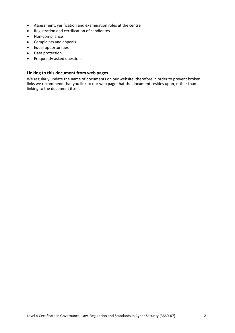- Assessment, verification and examination roles at the centre
- Registration and certification of candidates
- Non-compliance
- Complaints and appeals
- Equal opportunities
- Data protection
- Frequently asked questions.

## **Linking to this document from web pages**

We regularly update the name of documents on our website, therefore in order to prevent broken links we recommend that you link to our web page that the document resides upon, rather than linking to the document itself.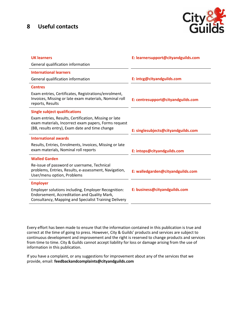## **8 Useful contacts**



| <b>UK learners</b>                                                                                                                                              | E: learnersupport@cityandguilds.com |
|-----------------------------------------------------------------------------------------------------------------------------------------------------------------|-------------------------------------|
| General qualification information                                                                                                                               |                                     |
| <b>International learners</b>                                                                                                                                   |                                     |
| General qualification information                                                                                                                               | E: intcg@cityandguilds.com          |
| <b>Centres</b>                                                                                                                                                  |                                     |
| Exam entries, Certificates, Registrations/enrolment,<br>Invoices, Missing or late exam materials, Nominal roll<br>reports, Results                              | E: centresupport@cityandguilds.com  |
| <b>Single subject qualifications</b>                                                                                                                            |                                     |
| Exam entries, Results, Certification, Missing or late<br>exam materials, Incorrect exam papers, Forms request<br>(BB, results entry), Exam date and time change | E: singlesubjects@cityandguilds.com |
| <b>International awards</b>                                                                                                                                     |                                     |
| Results, Entries, Enrolments, Invoices, Missing or late<br>exam materials, Nominal roll reports                                                                 | E: intops@cityandguilds.com         |
| <b>Walled Garden</b>                                                                                                                                            |                                     |
| Re-issue of password or username, Technical<br>problems, Entries, Results, e-assessment, Navigation,<br>User/menu option, Problems                              | E: walledgarden@cityandguilds.com   |
| <b>Employer</b>                                                                                                                                                 |                                     |
| Employer solutions including, Employer Recognition:<br>Endorsement, Accreditation and Quality Mark,<br>Consultancy, Mapping and Specialist Training Delivery    | E: business@cityandguilds.com       |

Every effort has been made to ensure that the information contained in this publication is true and correct at the time of going to press. However, City & Guilds' products and services are subject to continuous development and improvement and the right is reserved to change products and services from time to time. City & Guilds cannot accept liability for loss or damage arising from the use of information in this publication.

If you have a complaint, or any suggestions for improvement about any of the services that we provide, email: **[feedbackandcomplaints@cityandguilds.com](mailto:feedbackandcomplaints@cityandguilds.com)**